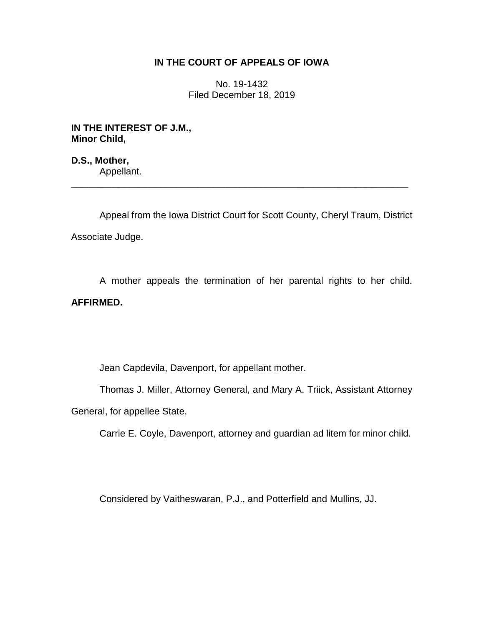## **IN THE COURT OF APPEALS OF IOWA**

No. 19-1432 Filed December 18, 2019

**IN THE INTEREST OF J.M., Minor Child,**

**D.S., Mother,** Appellant. \_\_\_\_\_\_\_\_\_\_\_\_\_\_\_\_\_\_\_\_\_\_\_\_\_\_\_\_\_\_\_\_\_\_\_\_\_\_\_\_\_\_\_\_\_\_\_\_\_\_\_\_\_\_\_\_\_\_\_\_\_\_\_\_

Appeal from the Iowa District Court for Scott County, Cheryl Traum, District Associate Judge.

A mother appeals the termination of her parental rights to her child. **AFFIRMED.**

Jean Capdevila, Davenport, for appellant mother.

Thomas J. Miller, Attorney General, and Mary A. Triick, Assistant Attorney General, for appellee State.

Carrie E. Coyle, Davenport, attorney and guardian ad litem for minor child.

Considered by Vaitheswaran, P.J., and Potterfield and Mullins, JJ.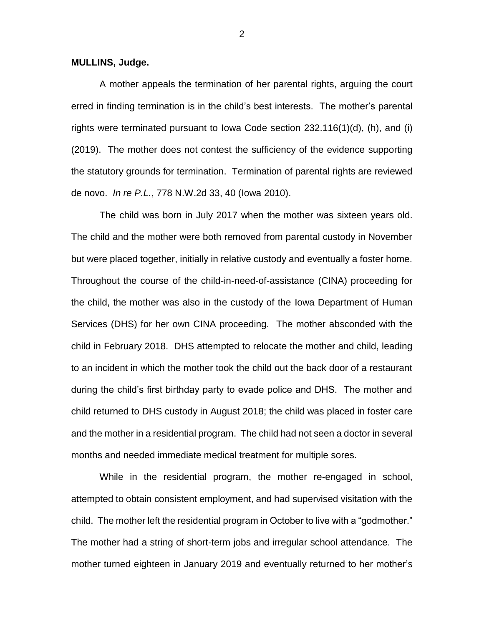**MULLINS, Judge.**

A mother appeals the termination of her parental rights, arguing the court erred in finding termination is in the child's best interests. The mother's parental rights were terminated pursuant to Iowa Code section 232.116(1)(d), (h), and (i) (2019). The mother does not contest the sufficiency of the evidence supporting the statutory grounds for termination. Termination of parental rights are reviewed de novo. *In re P.L.*, 778 N.W.2d 33, 40 (Iowa 2010).

The child was born in July 2017 when the mother was sixteen years old. The child and the mother were both removed from parental custody in November but were placed together, initially in relative custody and eventually a foster home. Throughout the course of the child-in-need-of-assistance (CINA) proceeding for the child, the mother was also in the custody of the Iowa Department of Human Services (DHS) for her own CINA proceeding. The mother absconded with the child in February 2018. DHS attempted to relocate the mother and child, leading to an incident in which the mother took the child out the back door of a restaurant during the child's first birthday party to evade police and DHS. The mother and child returned to DHS custody in August 2018; the child was placed in foster care and the mother in a residential program. The child had not seen a doctor in several months and needed immediate medical treatment for multiple sores.

While in the residential program, the mother re-engaged in school, attempted to obtain consistent employment, and had supervised visitation with the child. The mother left the residential program in October to live with a "godmother." The mother had a string of short-term jobs and irregular school attendance. The mother turned eighteen in January 2019 and eventually returned to her mother's

2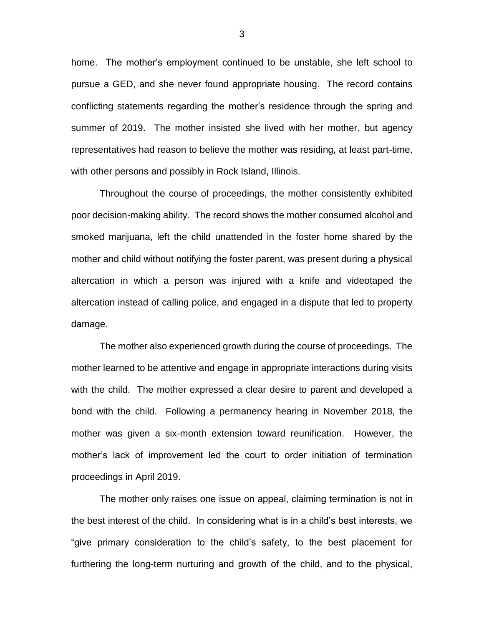home. The mother's employment continued to be unstable, she left school to pursue a GED, and she never found appropriate housing. The record contains conflicting statements regarding the mother's residence through the spring and summer of 2019. The mother insisted she lived with her mother, but agency representatives had reason to believe the mother was residing, at least part-time, with other persons and possibly in Rock Island, Illinois.

Throughout the course of proceedings, the mother consistently exhibited poor decision-making ability. The record shows the mother consumed alcohol and smoked marijuana, left the child unattended in the foster home shared by the mother and child without notifying the foster parent, was present during a physical altercation in which a person was injured with a knife and videotaped the altercation instead of calling police, and engaged in a dispute that led to property damage.

The mother also experienced growth during the course of proceedings. The mother learned to be attentive and engage in appropriate interactions during visits with the child. The mother expressed a clear desire to parent and developed a bond with the child. Following a permanency hearing in November 2018, the mother was given a six-month extension toward reunification. However, the mother's lack of improvement led the court to order initiation of termination proceedings in April 2019.

The mother only raises one issue on appeal, claiming termination is not in the best interest of the child. In considering what is in a child's best interests, we "give primary consideration to the child's safety, to the best placement for furthering the long-term nurturing and growth of the child, and to the physical,